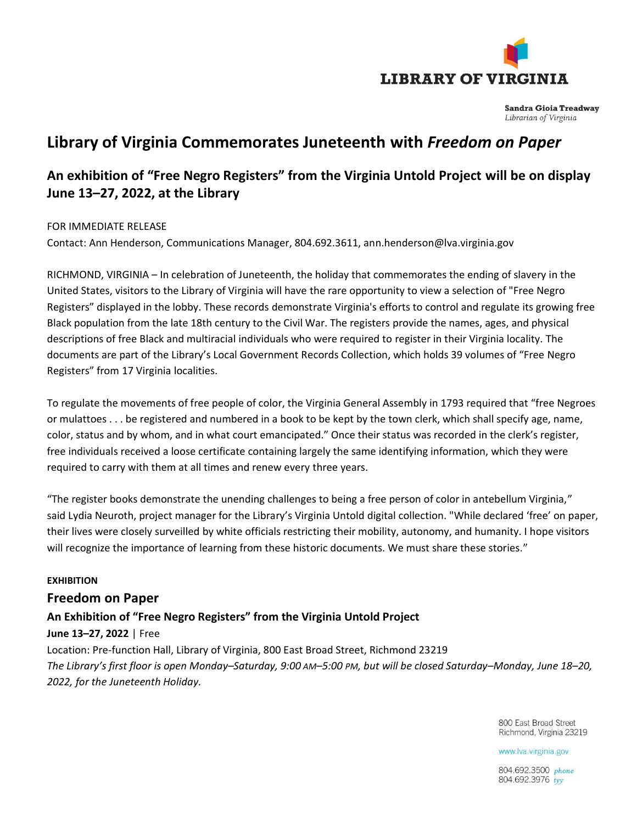

**Sandra Gioia Treadway** Librarian of Virginia

# **Library of Virginia Commemorates Juneteenth with** *Freedom on Paper*

## **An exhibition of "Free Negro Registers" from the Virginia Untold Project will be on display June 13–27, 2022, at the Library**

#### FOR IMMEDIATE RELEASE

Contact: Ann Henderson, Communications Manager, 804.692.3611, [ann.henderson@lva.virginia.gov](mailto:ann.henderson@lva.virginia.gov)

RICHMOND, VIRGINIA – In celebration of Juneteenth, the holiday that commemorates the ending of slavery in the United States, visitors to the Library of Virginia will have the rare opportunity to view a selection of "Free Negro Registers" displayed in the lobby. These records demonstrate Virginia's efforts to control and regulate its growing free Black population from the late 18th century to the Civil War. The registers provide the names, ages, and physical descriptions of free Black and multiracial individuals who were required to register in their Virginia locality. The documents are part of the Library's Local Government Records Collection, which holds 39 volumes of "Free Negro Registers" from 17 Virginia localities.

To regulate the movements of free people of color, the Virginia General Assembly in 1793 required that "free Negroes or mulattoes . . . be registered and numbered in a book to be kept by the town clerk, which shall specify age, name, color, status and by whom, and in what court emancipated." Once their status was recorded in the clerk's register, free individuals received a loose certificate containing largely the same identifying information, which they were required to carry with them at all times and renew every three years.

"The register books demonstrate the unending challenges to being a free person of color in antebellum Virginia," said Lydia Neuroth, project manager for the Library's Virginia Untold digital collection. "While declared 'free' on paper, their lives were closely surveilled by white officials restricting their mobility, autonomy, and humanity. I hope visitors will recognize the importance of learning from these historic documents. We must share these stories."

### **EXHIBITION**

### **Freedom on Paper**

## **An Exhibition of "Free Negro Registers" from the Virginia Untold Project**

### **June 13–27, 2022** | Free

Location: Pre-function Hall, Library of Virginia, 800 East Broad Street, Richmond 23219 *The Library's first floor is open Monday–Saturday, 9:00 AM–5:00 PM, but will be closed Saturday–Monday, June 18–20, 2022, for the Juneteenth Holiday.*

> 800 Fast Broad Street Richmond, Virginia 23219

www.lva.virginia.gov

804.692.3500 phone 804.692.3976 tyv